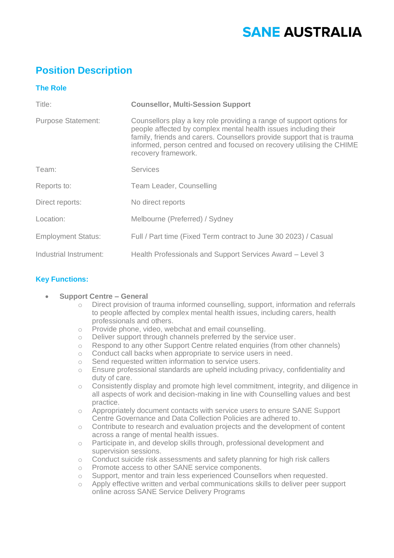# **SANE AUSTRALIA**

# **Position Description**

# **The Role**

| Title:                    | <b>Counsellor, Multi-Session Support</b>                                                                                                                                                                                                                                                                         |
|---------------------------|------------------------------------------------------------------------------------------------------------------------------------------------------------------------------------------------------------------------------------------------------------------------------------------------------------------|
| <b>Purpose Statement:</b> | Counsellors play a key role providing a range of support options for<br>people affected by complex mental health issues including their<br>family, friends and carers. Counsellors provide support that is trauma<br>informed, person centred and focused on recovery utilising the CHIME<br>recovery framework. |
| Team:                     | <b>Services</b>                                                                                                                                                                                                                                                                                                  |
| Reports to:               | Team Leader, Counselling                                                                                                                                                                                                                                                                                         |
| Direct reports:           | No direct reports                                                                                                                                                                                                                                                                                                |
| Location:                 | Melbourne (Preferred) / Sydney                                                                                                                                                                                                                                                                                   |
| <b>Employment Status:</b> | Full / Part time (Fixed Term contract to June 30 2023) / Casual                                                                                                                                                                                                                                                  |
| Industrial Instrument:    | Health Professionals and Support Services Award - Level 3                                                                                                                                                                                                                                                        |

## **Key Functions:**

#### • **Support Centre – General**

- Direct provision of trauma informed counselling, support, information and referrals to people affected by complex mental health issues, including carers, health professionals and others.
- o Provide phone, video, webchat and email counselling.
- o Deliver support through channels preferred by the service user.
- o Respond to any other Support Centre related enquiries (from other channels)
- o Conduct call backs when appropriate to service users in need.
- o Send requested written information to service users.
- o Ensure professional standards are upheld including privacy, confidentiality and duty of care.
- o Consistently display and promote high level commitment, integrity, and diligence in all aspects of work and decision-making in line with Counselling values and best practice.
- o Appropriately document contacts with service users to ensure SANE Support Centre Governance and Data Collection Policies are adhered to.
- $\circ$  Contribute to research and evaluation projects and the development of content across a range of mental health issues.
- o Participate in, and develop skills through, professional development and supervision sessions.
- o Conduct suicide risk assessments and safety planning for high risk callers
- o Promote access to other SANE service components.
- o Support, mentor and train less experienced Counsellors when requested.
- o Apply effective written and verbal communications skills to deliver peer support online across SANE Service Delivery Programs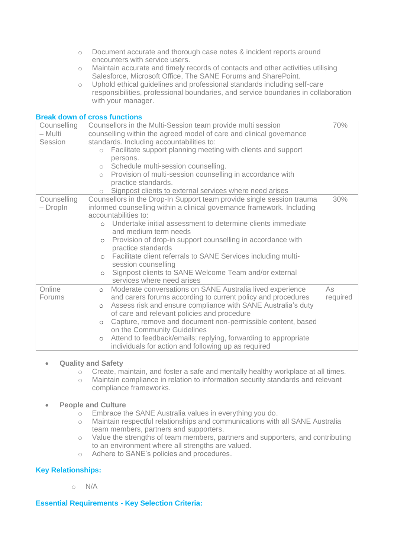- o Document accurate and thorough case notes & incident reports around encounters with service users.
- o Maintain accurate and timely records of contacts and other activities utilising Salesforce, Microsoft Office, The SANE Forums and SharePoint.
- o Uphold ethical guidelines and professional standards including self-care responsibilities, professional boundaries, and service boundaries in collaboration with your manager.

#### **Break down of cross functions**

| Counselling   | Counsellors in the Multi-Session team provide multi session               | 70%      |  |
|---------------|---------------------------------------------------------------------------|----------|--|
| — Multi       | counselling within the agreed model of care and clinical governance       |          |  |
| Session       | standards. Including accountabilities to:                                 |          |  |
|               | Facilitate support planning meeting with clients and support<br>$\circ$   |          |  |
|               | persons.                                                                  |          |  |
|               | o Schedule multi-session counselling.                                     |          |  |
|               | o Provision of multi-session counselling in accordance with               |          |  |
|               | practice standards.                                                       |          |  |
|               | Signpost clients to external services where need arises                   |          |  |
| Counselling   | Counsellors in the Drop-In Support team provide single session trauma     | 30%      |  |
| - DropIn      | informed counselling within a clinical governance framework. Including    |          |  |
|               | accountabilities to:                                                      |          |  |
|               | o Undertake initial assessment to determine clients immediate             |          |  |
|               | and medium term needs                                                     |          |  |
|               | Provision of drop-in support counselling in accordance with<br>$\circ$    |          |  |
|               | practice standards                                                        |          |  |
|               | o Facilitate client referrals to SANE Services including multi-           |          |  |
|               | session counselling                                                       |          |  |
|               | Signpost clients to SANE Welcome Team and/or external<br>$\circ$          |          |  |
|               | services where need arises                                                |          |  |
| Online        | Moderate conversations on SANE Australia lived experience<br>$\circ$      | As       |  |
| <b>Forums</b> | and carers forums according to current policy and procedures              | required |  |
|               | Assess risk and ensure compliance with SANE Australia's duty<br>$\circ$   |          |  |
|               | of care and relevant policies and procedure                               |          |  |
|               | Capture, remove and document non-permissible content, based<br>$\circ$    |          |  |
|               | on the Community Guidelines                                               |          |  |
|               | Attend to feedback/emails; replying, forwarding to appropriate<br>$\circ$ |          |  |
|               | individuals for action and following up as required                       |          |  |

#### • **Quality and Safety**

- o Create, maintain, and foster a safe and mentally healthy workplace at all times.
- o Maintain compliance in relation to information security standards and relevant compliance frameworks.

#### • **People and Culture**

- o Embrace the SANE Australia values in everything you do.
- o Maintain respectful relationships and communications with all SANE Australia team members, partners and supporters.
- o Value the strengths of team members, partners and supporters, and contributing to an environment where all strengths are valued.
- o Adhere to SANE's policies and procedures.

#### **Key Relationships:**

 $\circ$  N/A

#### **Essential Requirements - Key Selection Criteria:**